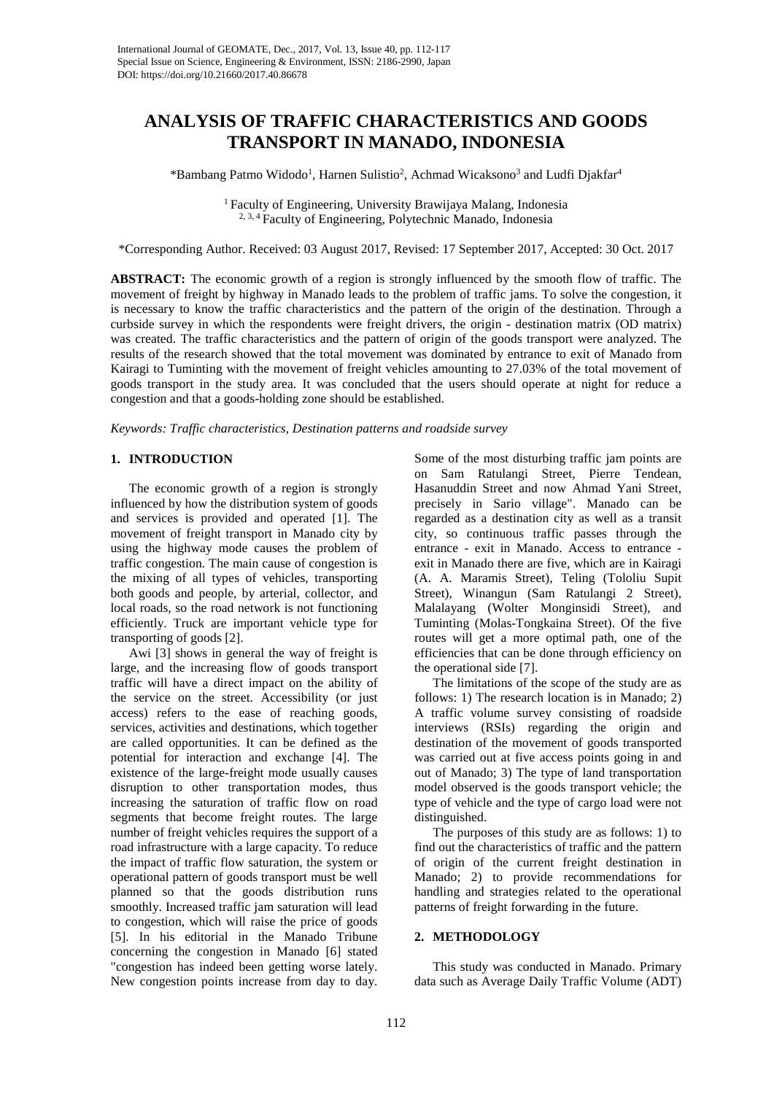# **ANALYSIS OF TRAFFIC CHARACTERISTICS AND GOODS TRANSPORT IN MANADO, INDONESIA**

\*Bambang Patmo Widodo<sup>1</sup>, Harnen Sulistio<sup>2</sup>, Achmad Wicaksono<sup>3</sup> and Ludfi Djakfar<sup>4</sup>

<sup>1</sup> Faculty of Engineering, University Brawijaya Malang, Indonesia 2, 3, 4 Faculty of Engineering, Polytechnic Manado, Indonesia

\*Corresponding Author. Received: 03 August 2017, Revised: 17 September 2017, Accepted: 30 Oct. 2017

**ABSTRACT:** The economic growth of a region is strongly influenced by the smooth flow of traffic. The movement of freight by highway in Manado leads to the problem of traffic jams. To solve the congestion, it is necessary to know the traffic characteristics and the pattern of the origin of the destination. Through a curbside survey in which the respondents were freight drivers, the origin - destination matrix (OD matrix) was created. The traffic characteristics and the pattern of origin of the goods transport were analyzed. The results of the research showed that the total movement was dominated by entrance to exit of Manado from Kairagi to Tuminting with the movement of freight vehicles amounting to 27.03% of the total movement of goods transport in the study area. It was concluded that the users should operate at night for reduce a congestion and that a goods-holding zone should be established.

*Keywords: Traffic characteristics, Destination patterns and roadside survey*

#### **1. INTRODUCTION**

The economic growth of a region is strongly influenced by how the distribution system of goods and services is provided and operated [1]. The movement of freight transport in Manado city by using the highway mode causes the problem of traffic congestion. The main cause of congestion is the mixing of all types of vehicles, transporting both goods and people, by arterial, collector, and local roads, so the road network is not functioning efficiently. Truck are important vehicle type for transporting of goods [2].

Awi [3] shows in general the way of freight is large, and the increasing flow of goods transport traffic will have a direct impact on the ability of the service on the street. Accessibility (or just access) refers to the ease of reaching goods, services, activities and destinations, which together are called opportunities. It can be defined as the potential for interaction and exchange [4]. The existence of the large-freight mode usually causes disruption to other transportation modes, thus increasing the saturation of traffic flow on road segments that become freight routes. The large number of freight vehicles requires the support of a road infrastructure with a large capacity. To reduce the impact of traffic flow saturation, the system or operational pattern of goods transport must be well planned so that the goods distribution runs smoothly. Increased traffic jam saturation will lead to congestion, which will raise the price of goods [5]. In his editorial in the Manado Tribune concerning the congestion in Manado [6] stated "congestion has indeed been getting worse lately. New congestion points increase from day to day.

Some of the most disturbing traffic jam points are on Sam Ratulangi Street, Pierre Tendean, Hasanuddin Street and now Ahmad Yani Street, precisely in Sario village". Manado can be regarded as a destination city as well as a transit city, so continuous traffic passes through the entrance - exit in Manado. Access to entrance exit in Manado there are five, which are in Kairagi (A. A. Maramis Street), Teling (Tololiu Supit Street), Winangun (Sam Ratulangi 2 Street), Malalayang (Wolter Monginsidi Street), and Tuminting (Molas-Tongkaina Street). Of the five routes will get a more optimal path, one of the efficiencies that can be done through efficiency on the operational side [7].

The limitations of the scope of the study are as follows: 1) The research location is in Manado; 2) A traffic volume survey consisting of roadside interviews (RSIs) regarding the origin and destination of the movement of goods transported was carried out at five access points going in and out of Manado; 3) The type of land transportation model observed is the goods transport vehicle; the type of vehicle and the type of cargo load were not distinguished.

The purposes of this study are as follows: 1) to find out the characteristics of traffic and the pattern of origin of the current freight destination in Manado; 2) to provide recommendations for handling and strategies related to the operational patterns of freight forwarding in the future.

## **2. METHODOLOGY**

This study was conducted in Manado. Primary data such as Average Daily Traffic Volume (ADT)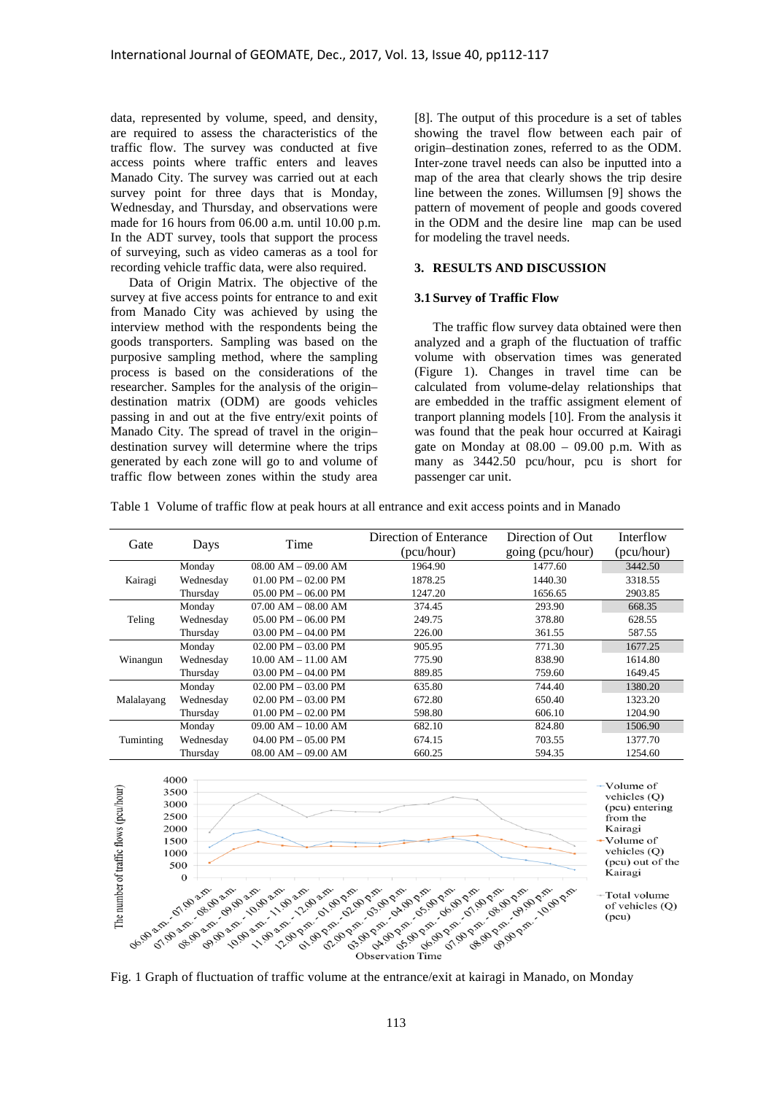data, represented by volume, speed, and density, are required to assess the characteristics of the traffic flow. The survey was conducted at five access points where traffic enters and leaves Manado City. The survey was carried out at each survey point for three days that is Monday, Wednesday, and Thursday, and observations were made for 16 hours from 06.00 a.m. until 10.00 p.m. In the ADT survey, tools that support the process of surveying, such as video cameras as a tool for recording vehicle traffic data, were also required.

Data of Origin Matrix. The objective of the survey at five access points for entrance to and exit from Manado City was achieved by using the interview method with the respondents being the goods transporters. Sampling was based on the purposive sampling method, where the sampling process is based on the considerations of the researcher. Samples for the analysis of the origin– destination matrix (ODM) are goods vehicles passing in and out at the five entry/exit points of Manado City. The spread of travel in the origin– destination survey will determine where the trips generated by each zone will go to and volume of traffic flow between zones within the study area

[8]. The output of this procedure is a set of tables showing the travel flow between each pair of origin–destination zones, referred to as the ODM. Inter-zone travel needs can also be inputted into a map of the area that clearly shows the trip desire line between the zones. Willumsen [9] shows the pattern of movement of people and goods covered in the ODM and the desire line map can be used for modeling the travel needs.

# **3. RESULTS AND DISCUSSION**

#### **3.1 Survey of Traffic Flow**

The traffic flow survey data obtained were then analyzed and a graph of the fluctuation of traffic volume with observation times was generated (Figure 1). Changes in travel time can be calculated from volume-delay relationships that are embedded in the traffic assigment element of tranport planning models [10]. From the analysis it was found that the peak hour occurred at Kairagi gate on Monday at  $08.00 - 09.00$  p.m. With as many as 3442.50 pcu/hour, pcu is short for passenger car unit.

Table 1 Volume of traffic flow at peak hours at all entrance and exit access points and in Manado

| Gate       | Days      | Time                    | Direction of Enterance<br>(pcu/hour) | Direction of Out<br>going (pcu/hour) | Interflow<br>(pcu/hour) |
|------------|-----------|-------------------------|--------------------------------------|--------------------------------------|-------------------------|
|            | Monday    | $08.00$ AM $- 09.00$ AM | 1964.90                              | 1477.60                              | 3442.50                 |
| Kairagi    | Wednesday | $01.00$ PM $-02.00$ PM  | 1878.25                              | 1440.30                              | 3318.55                 |
|            | Thursday  | $05.00$ PM $- 06.00$ PM | 1247.20                              | 1656.65                              | 2903.85                 |
|            | Monday    | $07.00$ AM $- 08.00$ AM | 374.45                               | 293.90                               | 668.35                  |
| Teling     | Wednesday | $05.00$ PM $- 06.00$ PM | 249.75                               | 378.80                               | 628.55                  |
|            | Thursday  | $03.00$ PM $- 04.00$ PM | 226.00                               | 361.55                               | 587.55                  |
|            | Monday    | $02.00$ PM $- 03.00$ PM | 905.95                               | 771.30                               | 1677.25                 |
| Winangun   | Wednesday | $10.00$ AM $- 11.00$ AM | 775.90                               | 838.90                               | 1614.80                 |
|            | Thursday  | $03.00$ PM $- 04.00$ PM | 889.85                               | 759.60                               | 1649.45                 |
|            | Monday    | $02.00$ PM $- 03.00$ PM | 635.80                               | 744.40                               | 1380.20                 |
| Malalayang | Wednesday | $02.00$ PM $- 03.00$ PM | 672.80                               | 650.40                               | 1323.20                 |
|            | Thursday  | $01.00$ PM $- 02.00$ PM | 598.80                               | 606.10                               | 1204.90                 |
|            | Monday    | $09.00$ AM $- 10.00$ AM | 682.10                               | 824.80                               | 1506.90                 |
| Tuminting  | Wednesday | $04.00$ PM $- 05.00$ PM | 674.15                               | 703.55                               | 1377.70                 |
|            | Thursday  | $08.00$ AM $- 09.00$ AM | 660.25                               | 594.35                               | 1254.60                 |



Fig. 1 Graph of fluctuation of traffic volume at the entrance/exit at kairagi in Manado, on Monday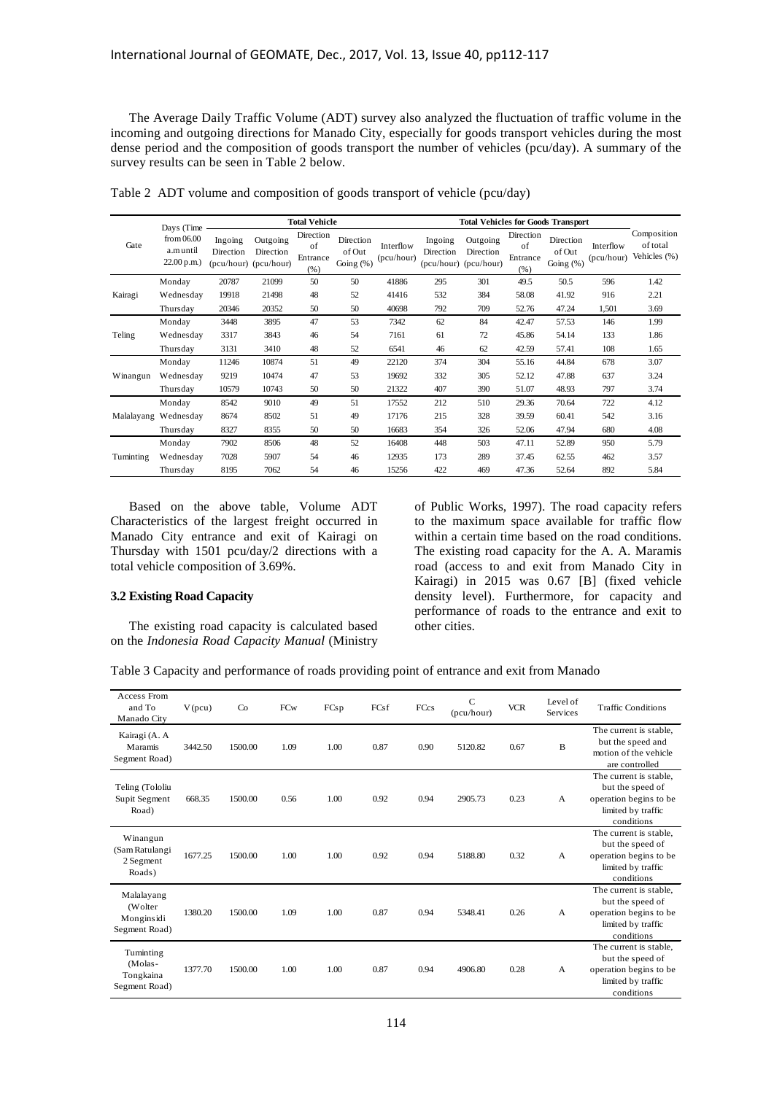The Average Daily Traffic Volume (ADT) survey also analyzed the fluctuation of traffic volume in the incoming and outgoing directions for Manado City, especially for goods transport vehicles during the most dense period and the composition of goods transport the number of vehicles (pcu/day). A summary of the survey results can be seen in Table 2 below.

|           | Days (Time                             | <b>Total Vehicle</b> |                                                |                                     |                                     | <b>Total Vehicles for Goods Transport</b> |                      |                                                |                                     |                                  |                         |                                         |
|-----------|----------------------------------------|----------------------|------------------------------------------------|-------------------------------------|-------------------------------------|-------------------------------------------|----------------------|------------------------------------------------|-------------------------------------|----------------------------------|-------------------------|-----------------------------------------|
| Gate      | from $06.00$<br>a.muntil<br>22.00 p.m. | Ingoing<br>Direction | Outgoing<br>Direction<br>(pcu/hour) (pcu/hour) | Direction<br>of<br>Entrance<br>(% ) | Direction<br>of Out<br>Going $(\%)$ | Interflow<br>(pcu/hour)                   | Ingoing<br>Direction | Outgoing<br>Direction<br>(pcu/hour) (pcu/hour) | Direction<br>of<br>Entrance<br>(% ) | Direction<br>of Out<br>Going (%) | Interflow<br>(pcu/hour) | Composition<br>of total<br>Vehicles (%) |
|           | Monday                                 | 20787                | 21099                                          | 50                                  | 50                                  | 41886                                     | 295                  | 301                                            | 49.5                                | 50.5                             | 596                     | 1.42                                    |
| Kairagi   | Wednesday                              | 19918                | 21498                                          | 48                                  | 52                                  | 41416                                     | 532                  | 384                                            | 58.08                               | 41.92                            | 916                     | 2.21                                    |
|           | Thursdav                               | 20346                | 20352                                          | 50                                  | 50                                  | 40698                                     | 792                  | 709                                            | 52.76                               | 47.24                            | 1,501                   | 3.69                                    |
|           | Monday                                 | 3448                 | 3895                                           | 47                                  | 53                                  | 7342                                      | 62                   | 84                                             | 42.47                               | 57.53                            | 146                     | 1.99                                    |
| Teling    | Wednesday                              | 3317                 | 3843                                           | 46                                  | 54                                  | 7161                                      | 61                   | 72                                             | 45.86                               | 54.14                            | 133                     | 1.86                                    |
|           | Thursday                               | 3131                 | 3410                                           | 48                                  | 52                                  | 6541                                      | 46                   | 62                                             | 42.59                               | 57.41                            | 108                     | 1.65                                    |
|           | Monday                                 | 11246                | 10874                                          | 51                                  | 49                                  | 22120                                     | 374                  | 304                                            | 55.16                               | 44.84                            | 678                     | 3.07                                    |
| Winangun  | Wednesday                              | 9219                 | 10474                                          | 47                                  | 53                                  | 19692                                     | 332                  | 305                                            | 52.12                               | 47.88                            | 637                     | 3.24                                    |
|           | Thursday                               | 10579                | 10743                                          | 50                                  | 50                                  | 21322                                     | 407                  | 390                                            | 51.07                               | 48.93                            | 797                     | 3.74                                    |
|           | Monday                                 | 8542                 | 9010                                           | 49                                  | 51                                  | 17552                                     | 212                  | 510                                            | 29.36                               | 70.64                            | 722                     | 4.12                                    |
|           | Malalayang Wednesday                   | 8674                 | 8502                                           | 51                                  | 49                                  | 17176                                     | 215                  | 328                                            | 39.59                               | 60.41                            | 542                     | 3.16                                    |
|           | Thursday                               | 8327                 | 8355                                           | 50                                  | 50                                  | 16683                                     | 354                  | 326                                            | 52.06                               | 47.94                            | 680                     | 4.08                                    |
|           | Monday                                 | 7902                 | 8506                                           | 48                                  | 52                                  | 16408                                     | 448                  | 503                                            | 47.11                               | 52.89                            | 950                     | 5.79                                    |
| Tuminting | Wednesday                              | 7028                 | 5907                                           | 54                                  | 46                                  | 12935                                     | 173                  | 289                                            | 37.45                               | 62.55                            | 462                     | 3.57                                    |
|           | Thursday                               | 8195                 | 7062                                           | 54                                  | 46                                  | 15256                                     | 422                  | 469                                            | 47.36                               | 52.64                            | 892                     | 5.84                                    |

Table 2 ADT volume and composition of goods transport of vehicle (pcu/day)

Based on the above table, Volume ADT Characteristics of the largest freight occurred in Manado City entrance and exit of Kairagi on Thursday with 1501 pcu/day/2 directions with a total vehicle composition of 3.69%.

# **3.2 Existing Road Capacity**

The existing road capacity is calculated based on the *Indonesia Road Capacity Manual* (Ministry

of Public Works, 1997). The road capacity refers to the maximum space available for traffic flow within a certain time based on the road conditions. The existing road capacity for the A. A. Maramis road (access to and exit from Manado City in Kairagi) in 2015 was 0.67 [B] (fixed vehicle density level). Furthermore, for capacity and performance of roads to the entrance and exit to other cities.

Table 3 Capacity and performance of roads providing point of entrance and exit from Manado

| <b>Access From</b><br>and To<br>Manado City          | $V$ (pcu) | Co      | FCw  | FCsp | FCsf | FCcs | $\mathsf{C}$<br>(pcu/hour) | <b>VCR</b> | Level of<br>Services | <b>Traffic Conditions</b>                                                                                |
|------------------------------------------------------|-----------|---------|------|------|------|------|----------------------------|------------|----------------------|----------------------------------------------------------------------------------------------------------|
| Kairagi (A. A<br>Maramis<br>Segment Road)            | 3442.50   | 1500.00 | 1.09 | 1.00 | 0.87 | 0.90 | 5120.82                    | 0.67       | B                    | The current is stable.<br>but the speed and<br>motion of the vehicle<br>are controlled                   |
| Teling (Tololiu<br>Supit Segment<br>Road)            | 668.35    | 1500.00 | 0.56 | 1.00 | 0.92 | 0.94 | 2905.73                    | 0.23       | A                    | The current is stable,<br>but the speed of<br>operation begins to be<br>limited by traffic<br>conditions |
| Winangun<br>(Sam Ratulangi<br>2 Segment<br>Roads)    | 1677.25   | 1500.00 | 1.00 | 1.00 | 0.92 | 0.94 | 5188.80                    | 0.32       | A                    | The current is stable,<br>but the speed of<br>operation begins to be<br>limited by traffic<br>conditions |
| Malalayang<br>(Wolter<br>Monginsidi<br>Segment Road) | 1380.20   | 1500.00 | 1.09 | 1.00 | 0.87 | 0.94 | 5348.41                    | 0.26       | A                    | The current is stable,<br>but the speed of<br>operation begins to be<br>limited by traffic<br>conditions |
| Tuminting<br>(Molas-<br>Tongkaina<br>Segment Road)   | 1377.70   | 1500.00 | 1.00 | 1.00 | 0.87 | 0.94 | 4906.80                    | 0.28       | A                    | The current is stable,<br>but the speed of<br>operation begins to be<br>limited by traffic<br>conditions |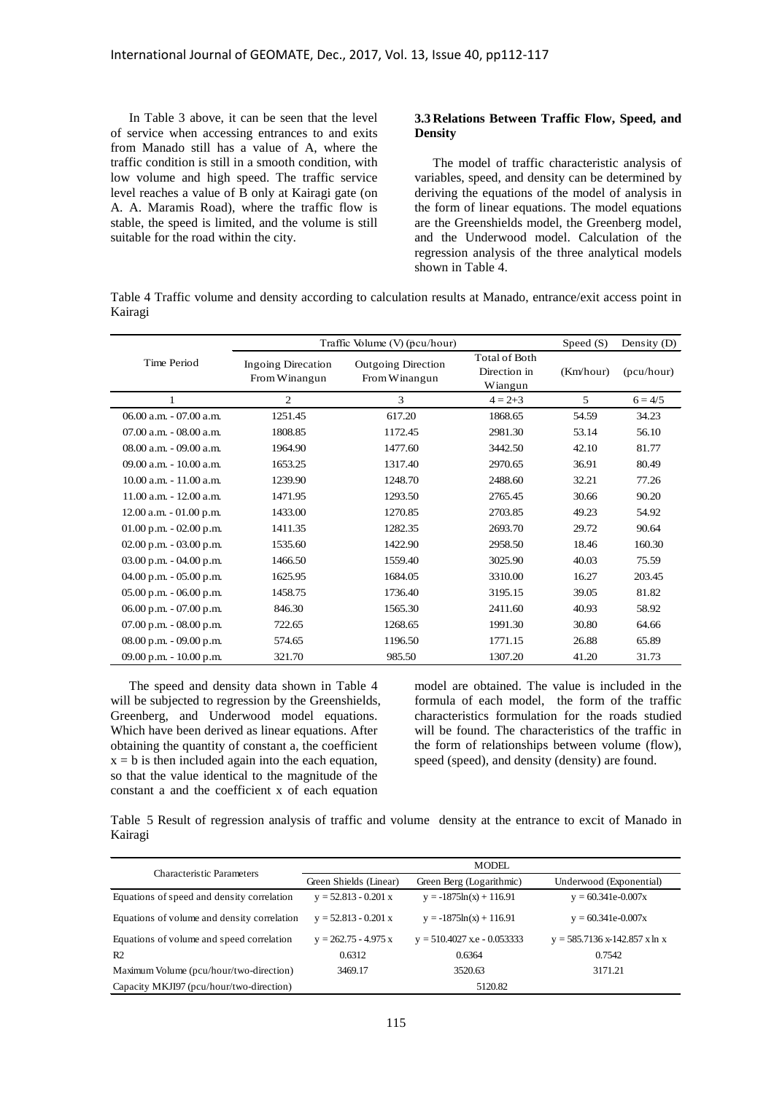In Table 3 above, it can be seen that the level of service when accessing entrances to and exits from Manado still has a value of A, where the traffic condition is still in a smooth condition, with low volume and high speed. The traffic service level reaches a value of B only at Kairagi gate (on A. A. Maramis Road), where the traffic flow is stable, the speed is limited, and the volume is still suitable for the road within the city.

### **3.3 Relations Between Traffic Flow, Speed, and Density**

The model of traffic characteristic analysis of variables, speed, and density can be determined by deriving the equations of the model of analysis in the form of linear equations. The model equations are the Greenshields model, the Greenberg model, and the Underwood model. Calculation of the regression analysis of the three analytical models shown in Table 4.

Table 4 Traffic volume and density according to calculation results at Manado, entrance/exit access point in Kairagi

|                             | Traffic Volume $(V)$ (pcu/hour)     | Speed $(S)$                                | Density $(D)$                                   |           |            |
|-----------------------------|-------------------------------------|--------------------------------------------|-------------------------------------------------|-----------|------------|
| Time Period                 | Ingoing Direcation<br>From Winangun | <b>Outgoing Direction</b><br>From Winangun | <b>Total of Both</b><br>Direction in<br>Wiangun | (Km/hour) | (pcu/hour) |
| $\mathbf{1}$                | $\overline{c}$                      | 3                                          | $4 = 2 + 3$                                     | 5         | $6 = 4/5$  |
| $06.00$ a.m. $-07.00$ a.m.  | 1251.45                             | 617.20                                     | 1868.65                                         | 54.59     | 34.23      |
| $07.00$ a.m. $-08.00$ a.m.  | 1808.85                             | 1172.45                                    | 2981.30                                         | 53.14     | 56.10      |
| $08.00$ a.m. $-09.00$ a.m.  | 1964.90                             | 1477.60                                    | 3442.50                                         | 42.10     | 81.77      |
| 09.00 a.m. $-10.00$ a.m.    | 1653.25                             | 1317.40                                    | 2970.65                                         | 36.91     | 80.49      |
| $10.00$ a.m. $-11.00$ a.m.  | 1239.90                             | 1248.70                                    | 2488.60                                         | 32.21     | 77.26      |
| $11.00$ a.m. $-12.00$ a.m.  | 1471.95                             | 1293.50                                    | 2765.45                                         | 30.66     | 90.20      |
| $12.00$ a.m. $-01.00$ p.m.  | 1433.00                             | 1270.85                                    | 2703.85                                         | 49.23     | 54.92      |
| 01.00 p.m. - 02.00 p.m.     | 1411.35                             | 1282.35                                    | 2693.70                                         | 29.72     | 90.64      |
| $02.00$ p.m. $-03.00$ p.m.  | 1535.60                             | 1422.90                                    | 2958.50                                         | 18.46     | 160.30     |
| $03.00$ p.m. $-04.00$ p.m.  | 1466.50                             | 1559.40                                    | 3025.90                                         | 40.03     | 75.59      |
| $04.00$ p.m. $-05.00$ p.m.  | 1625.95                             | 1684.05                                    | 3310.00                                         | 16.27     | 203.45     |
| $05.00$ p.m. $-06.00$ p.m.  | 1458.75                             | 1736.40                                    | 3195.15                                         | 39.05     | 81.82      |
| $06.00$ p.m. $-07.00$ p.m.  | 846.30                              | 1565.30                                    | 2411.60                                         | 40.93     | 58.92      |
| $07.00$ p.m. $-08.00$ p.m.  | 722.65                              | 1268.65                                    | 1991.30                                         | 30.80     | 64.66      |
| $08.00$ p.m. $- 09.00$ p.m. | 574.65                              | 1196.50                                    | 1771.15                                         | 26.88     | 65.89      |
| 09.00 p.m. - 10.00 p.m.     | 321.70                              | 985.50                                     | 1307.20                                         | 41.20     | 31.73      |

The speed and density data shown in Table 4 will be subjected to regression by the Greenshields, Greenberg, and Underwood model equations. Which have been derived as linear equations. After obtaining the quantity of constant a, the coefficient  $x = b$  is then included again into the each equation, so that the value identical to the magnitude of the constant a and the coefficient x of each equation

model are obtained. The value is included in the formula of each model, the form of the traffic characteristics formulation for the roads studied will be found. The characteristics of the traffic in the form of relationships between volume (flow), speed (speed), and density (density) are found.

Table 5 Result of regression analysis of traffic and volume density at the entrance to excit of Manado in Kairagi

| <b>Characteristic Parameters</b>            | <b>MODEL</b>           |                               |                                 |  |  |  |
|---------------------------------------------|------------------------|-------------------------------|---------------------------------|--|--|--|
|                                             | Green Shields (Linear) | Green Berg (Logarithmic)      | Underwood (Exponential)         |  |  |  |
| Equations of speed and density correlation  | $y = 52.813 - 0.201 x$ | $y = -1875\ln(x) + 116.91$    | $y = 60.341e - 0.007x$          |  |  |  |
| Equations of volume and density correlation | $y = 52.813 - 0.201 x$ | $y = -1875\ln(x) + 116.91$    | $y = 60.341e - 0.007x$          |  |  |  |
| Equations of volume and speed correlation   | $y = 262.75 - 4.975 x$ | $y = 510.4027$ x.e - 0.053333 | $y = 585.7136$ x-142.857 x ln x |  |  |  |
| R <sub>2</sub>                              | 0.6312                 | 0.6364                        | 0.7542                          |  |  |  |
| Maximum Volume (pcu/hour/two-direction)     | 3469.17                | 3520.63                       | 3171.21                         |  |  |  |
| Capacity MKJI97 (pcu/hour/two-direction)    |                        | 5120.82                       |                                 |  |  |  |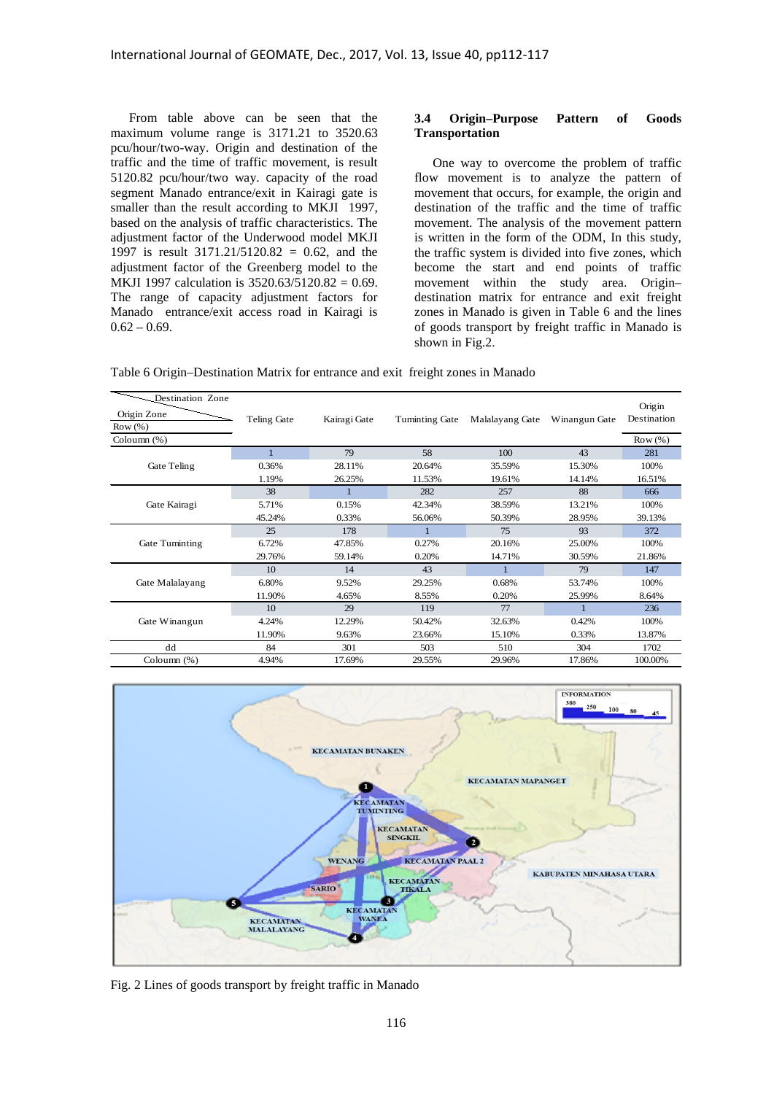From table above can be seen that the maximum volume range is 3171.21 to 3520.63 pcu/hour/two-way. Origin and destination of the traffic and the time of traffic movement, is result 5120.82 pcu/hour/two way. Capacity of the road segment Manado entrance/exit in Kairagi gate is smaller than the result according to MKJI 1997, based on the analysis of traffic characteristics. The adjustment factor of the Underwood model MKJI 1997 is result 3171.21/5120.82 = 0.62, and the adjustment factor of the Greenberg model to the MKJI 1997 calculation is 3520.63/5120.82 = 0.69. The range of capacity adjustment factors for Manado entrance/exit access road in Kairagi is  $0.62 - 0.69$ .

#### **3.4 Origin–Purpose Pattern of Goods Transportation**

One way to overcome the problem of traffic flow movement is to analyze the pattern of movement that occurs, for example, the origin and destination of the traffic and the time of traffic movement. The analysis of the movement pattern is written in the form of the ODM, In this study, the traffic system is divided into five zones, which become the start and end points of traffic movement within the study area. Origin– destination matrix for entrance and exit freight zones in Manado is given in Table 6 and the lines of goods transport by freight traffic in Manado is shown in Fig.2.

| Table 6 Origin-Destination Matrix for entrance and exit freight zones in Manado |  |
|---------------------------------------------------------------------------------|--|
|                                                                                 |  |

| Destination Zone |             |              |                |                 |               |                       |
|------------------|-------------|--------------|----------------|-----------------|---------------|-----------------------|
| Origin Zone      | Teling Gate | Kairagi Gate | Tuminting Gate | Malalayang Gate | Winangun Gate | Origin<br>Destination |
| Row (%)          |             |              |                |                 |               |                       |
| Coloumn (%)      |             |              |                |                 |               | Row(%)                |
|                  |             | 79           | 58             | 100             | 43            | 281                   |
| Gate Teling      | 0.36%       | 28.11%       | 20.64%         | 35.59%          | 15.30%        | 100%                  |
|                  | 1.19%       | 26.25%       | 11.53%         | 19.61%          | 14.14%        | 16.51%                |
|                  | 38          |              | 282            | 257             | 88            | 666                   |
| Gate Kairagi     | 5.71%       | 0.15%        | 42.34%         | 38.59%          | 13.21%        | 100%                  |
|                  | 45.24%      | 0.33%        | 56.06%         | 50.39%          | 28.95%        | 39.13%                |
|                  | 25          | 178          | 1              | 75              | 93            | 372                   |
| Gate Tuminting   | 6.72%       | 47.85%       | 0.27%          | 20.16%          | 25.00%        | 100%                  |
|                  | 29.76%      | 59.14%       | 0.20%          | 14.71%          | 30.59%        | 21.86%                |
|                  | 10          | 14           | 43             |                 | 79            | 147                   |
| Gate Malalayang  | 6.80%       | 9.52%        | 29.25%         | 0.68%           | 53.74%        | 100%                  |
|                  | 11.90%      | 4.65%        | 8.55%          | 0.20%           | 25.99%        | 8.64%                 |
|                  | 10          | 29           | 119            | 77              |               | 236                   |
| Gate Winangun    | 4.24%       | 12.29%       | 50.42%         | 32.63%          | 0.42%         | 100%                  |
|                  | 11.90%      | 9.63%        | 23.66%         | 15.10%          | 0.33%         | 13.87%                |
| dd               | 84          | 301          | 503            | 510             | 304           | 1702                  |
| Coloumn (%)      | 4.94%       | 17.69%       | 29.55%         | 29.96%          | 17.86%        | 100.00%               |



Fig. 2 Lines of goods transport by freight traffic in Manado